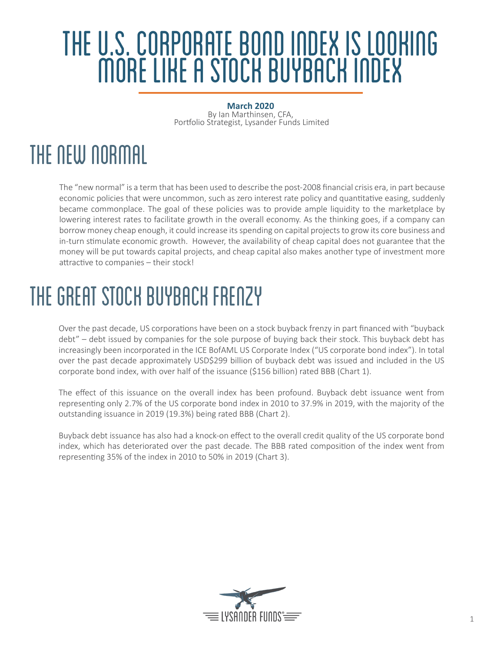# The U.S. Corporate Bond Index is Looking More Like a Stock Buyback Index

#### **March 2020**

By Ian Marthinsen, CFA, Portfolio Strategist, Lysander Funds Limited

# THE NEW NORMAL

The "new normal" is a term that has been used to describe the post-2008 financial crisis era, in part because economic policies that were uncommon, such as zero interest rate policy and quantitative easing, suddenly became commonplace. The goal of these policies was to provide ample liquidity to the marketplace by lowering interest rates to facilitate growth in the overall economy. As the thinking goes, if a company can borrow money cheap enough, it could increase its spending on capital projects to grow its core business and in-turn stimulate economic growth. However, the availability of cheap capital does not guarantee that the money will be put towards capital projects, and cheap capital also makes another type of investment more attractive to companies – their stock!

# The Great Stock Buyback Frenzy

Over the past decade, US corporations have been on a stock buyback frenzy in part financed with "buyback debt" – debt issued by companies for the sole purpose of buying back their stock. This buyback debt has increasingly been incorporated in the ICE BofAML US Corporate Index ("US corporate bond index"). In total over the past decade approximately USD\$299 billion of buyback debt was issued and included in the US corporate bond index, with over half of the issuance (\$156 billion) rated BBB (Chart 1).

The effect of this issuance on the overall index has been profound. Buyback debt issuance went from representing only 2.7% of the US corporate bond index in 2010 to 37.9% in 2019, with the majority of the outstanding issuance in 2019 (19.3%) being rated BBB (Chart 2).

Buyback debt issuance has also had a knock-on effect to the overall credit quality of the US corporate bond index, which has deteriorated over the past decade. The BBB rated composition of the index went from representing 35% of the index in 2010 to 50% in 2019 (Chart 3).

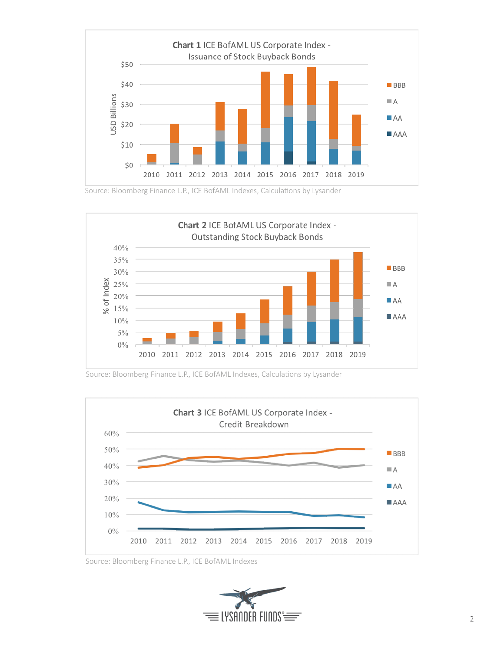

Source: Bloomberg Finance L.P., ICE BofAML Indexes, Calculations by Lysander



Source: Bloomberg Finance L.P., ICE BofAML Indexes, Calculations by Lysander



Source: Bloomberg Finance L.P., ICE BofAML Indexes

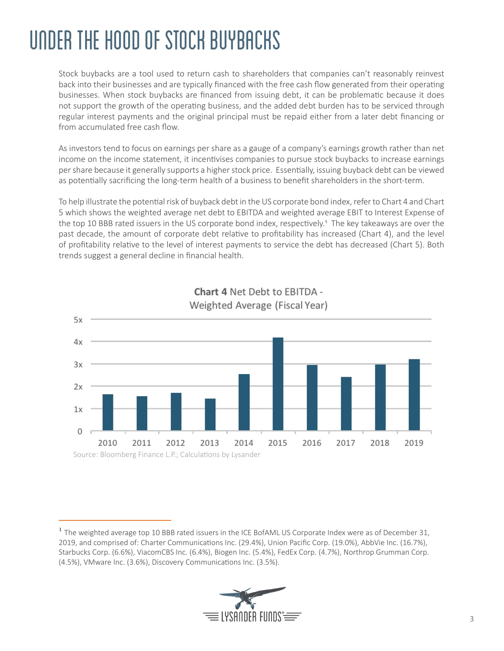# Under the Hood of Stock Buybacks

Stock buybacks are a tool used to return cash to shareholders that companies can't reasonably reinvest back into their businesses and are typically financed with the free cash flow generated from their operating businesses. When stock buybacks are financed from issuing debt, it can be problematic because it does not support the growth of the operating business, and the added debt burden has to be serviced through regular interest payments and the original principal must be repaid either from a later debt financing or from accumulated free cash flow.

As investors tend to focus on earnings per share as a gauge of a company's earnings growth rather than net income on the income statement, it incentivises companies to pursue stock buybacks to increase earnings per share because it generally supports a higher stock price. Essentially, issuing buyback debt can be viewed as potentially sacrificing the long-term health of a business to benefit shareholders in the short-term.

To help illustrate the potential risk of buyback debt in the US corporate bond index, refer to Chart 4 and Chart 5 which shows the weighted average net debt to EBITDA and weighted average EBIT to Interest Expense of the top 10 BBB rated issuers in the US corporate bond index, respectively.1 The key takeaways are over the past decade, the amount of corporate debt relative to profitability has increased (Chart 4), and the level of profitability relative to the level of interest payments to service the debt has decreased (Chart 5). Both trends suggest a general decline in financial health.



Chart 4 Net Debt to FBITDA -Weighted Average (Fiscal Year)

<sup>&</sup>lt;sup>1</sup> The weighted average top 10 BBB rated issuers in the ICE BofAML US Corporate Index were as of December 31, 2019, and comprised of: Charter Communications Inc. (29.4%), Union Pacific Corp. (19.0%), AbbVie Inc. (16.7%), Starbucks Corp. (6.6%), ViacomCBS Inc. (6.4%), Biogen Inc. (5.4%), FedEx Corp. (4.7%), Northrop Grumman Corp. (4.5%), VMware Inc. (3.6%), Discovery Communications Inc. (3.5%).

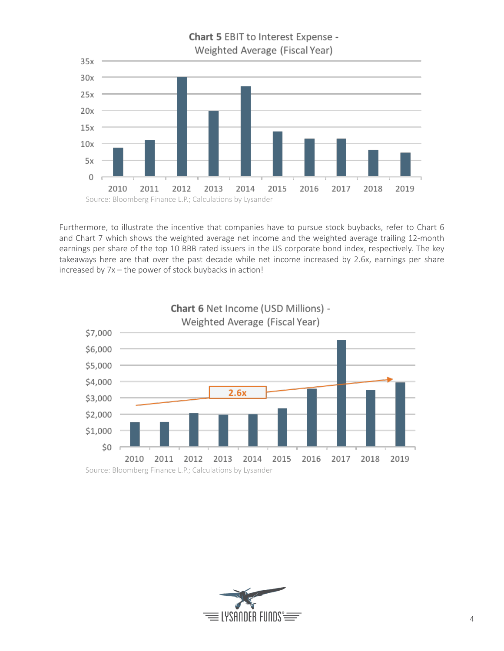

Furthermore, to illustrate the incentive that companies have to pursue stock buybacks, refer to Chart 6 and Chart 7 which shows the weighted average net income and the weighted average trailing 12-month earnings per share of the top 10 BBB rated issuers in the US corporate bond index, respectively. The key takeaways here are that over the past decade while net income increased by 2.6x, earnings per share increased by 7x – the power of stock buybacks in action!



#### Chart 6 Net Income (USD Millions) -

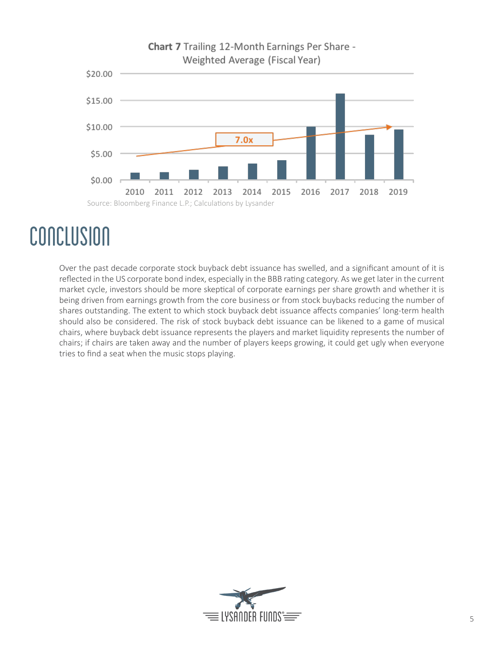

### Chart 7 Trailing 12-Month Earnings Per Share -

## conclusion

Over the past decade corporate stock buyback debt issuance has swelled, and a significant amount of it is reflected in the US corporate bond index, especially in the BBB rating category. As we get later in the current market cycle, investors should be more skeptical of corporate earnings per share growth and whether it is being driven from earnings growth from the core business or from stock buybacks reducing the number of shares outstanding. The extent to which stock buyback debt issuance affects companies' long-term health should also be considered. The risk of stock buyback debt issuance can be likened to a game of musical chairs, where buyback debt issuance represents the players and market liquidity represents the number of chairs; if chairs are taken away and the number of players keeps growing, it could get ugly when everyone tries to find a seat when the music stops playing.